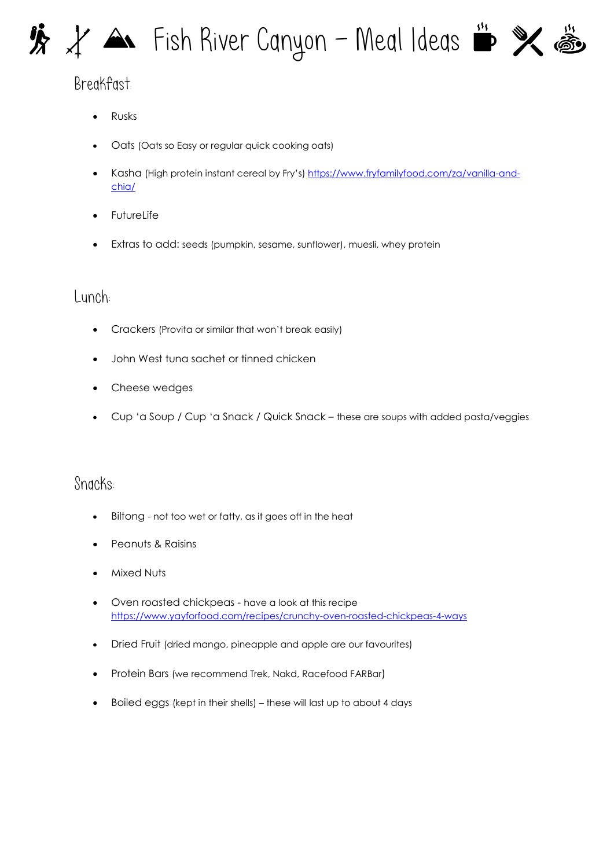# $\mathcal{H} \times \mathbb{A}$  Fish River Canyon – Meal Ideas  $\mathbb{R} \times \mathbb{A}$



## Breakfast:

- Rusks
- Oats (Oats so Easy or regular quick cooking oats)
- Kasha (High protein instant cereal by Fry's) [https://www.fryfamilyfood.com/za/vanilla-and](https://www.fryfamilyfood.com/za/vanilla-and-chia/)[chia/](https://www.fryfamilyfood.com/za/vanilla-and-chia/)
- **FutureLife**
- Extras to add: seeds (pumpkin, sesame, sunflower), muesli, whey protein

#### Lunch:

- Crackers (Provita or similar that won't break easily)
- John West tuna sachet or tinned chicken
- Cheese wedges
- Cup 'a Soup / Cup 'a Snack / Quick Snack these are soups with added pasta/veggies

### Snacks:

- Biltong not too wet or fatty, as it goes off in the heat
- Peanuts & Raisins
- Mixed Nuts
- Oven roasted chickpeas have a look at this recipe <https://www.yayforfood.com/recipes/crunchy-oven-roasted-chickpeas-4-ways>
- Dried Fruit (dried mango, pineapple and apple are our favourites)
- Protein Bars (we recommend Trek, Nakd, Racefood FARBar)
- Boiled eggs (kept in their shells) these will last up to about 4 days